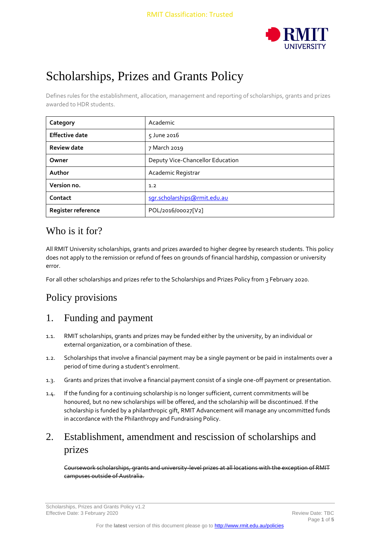

# Scholarships, Prizes and Grants Policy

Defines rules for the establishment, allocation, management and reporting of scholarships, grants and prizes awarded to HDR students.

| Category              | Academic                         |  |
|-----------------------|----------------------------------|--|
| <b>Effective date</b> | 5 June 2016                      |  |
| <b>Review date</b>    | 7 March 2019                     |  |
| Owner                 | Deputy Vice-Chancellor Education |  |
| Author                | Academic Registrar               |  |
| Version no.           | 1.2                              |  |
| Contact               | sgr.scholarships@rmit.edu.au     |  |
| Register reference    | POL/2016/00027[V2]               |  |

### Who is it for?

All RMIT University scholarships, grants and prizes awarded to higher degree by research students. This policy does not apply to the remission or refund of fees on grounds of financial hardship, compassion or university error.

For all other scholarships and prizes refer to the Scholarships and Prizes Policy from 3 February 2020.

# Policy provisions

# 1. Funding and payment

- 1.1. RMIT scholarships, grants and prizes may be funded either by the university, by an individual or external organization, or a combination of these.
- 1.2. Scholarships that involve a financial payment may be a single payment or be paid in instalments over a period of time during a student's enrolment.
- 1.3. Grants and prizes that involve a financial payment consist of a single one-off payment or presentation.
- 1.4. If the funding for a continuing scholarship is no longer sufficient, current commitments will be honoured, but no new scholarships will be offered, and the scholarship will be discontinued. If the scholarship is funded by a philanthropic gift, RMIT Advancement will manage any uncommitted funds in accordance with the Philanthropy and Fundraising Policy.

# 2. Establishment, amendment and rescission of scholarships and prizes

Coursework scholarships, grants and university-level prizes at all locations with the exception of RMIT campuses outside of Australia.

Scholarships, Prizes and Grants Policy v1.2 Effective Date: 3 February 2020 Review Date: TBC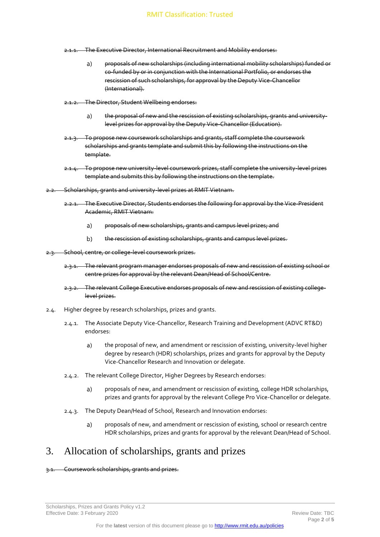- 2.1.1. The Executive Director, International Recruitment and Mobility endorses:
	- proposals of new scholarships (including international mobility scholarships) funded or  $a)$ co-funded by or in conjunction with the International Portfolio, or endorses the rescission of such scholarships, for approval by the Deputy Vice-Chancellor (International).
- 2.1.2. The Director, Student Wellbeing endorses:
	- the proposal of new and the rescission of existing scholarships, grants and university $a)$ level prizes for approval by the Deputy Vice-Chancellor (Education).
- To propose new coursework scholarships and grants, staff complete the coursework scholarships and grants template and submit this by following the instructions on the template.
- 2.1.4. To propose new university-level coursework prizes, staff complete the university-level prizes template and submits this by following the instructions on the template.
- 2.2. Scholarships, grants and university-level prizes at RMIT Vietnam.
	- 2.2.1. The Executive Director, Students endorses the following for approval by the Vice-President Academic, RMIT Vietnam:
		- $a)$ proposals of new scholarships, grants and campus level prizes; and
		- $b)$ the rescission of existing scholarships, grants and campus level prizes.
- 2.3. School, centre, or college-level coursework prizes.
	- 2.3.1. The relevant program manager endorses proposals of new and rescission of existing school or centre prizes for approval by the relevant Dean/Head of School/Centre.
	- 2.3.2. The relevant College Executive endorses proposals of new and rescission of existing collegelevel prizes.
- 2.4. Higher degree by research scholarships, prizes and grants.
	- 2.4.1. The Associate Deputy Vice-Chancellor, Research Training and Development (ADVC RT&D) endorses:
		- the proposal of new, and amendment or rescission of existing, university-level higher  $a)$ degree by research (HDR) scholarships, prizes and grants for approval by the Deputy Vice-Chancellor Research and Innovation or delegate.
	- 2.4.2. The relevant College Director, Higher Degrees by Research endorses:
		- proposals of new, and amendment or rescission of existing, college HDR scholarships,  $a)$ prizes and grants for approval by the relevant College Pro Vice-Chancellor or delegate.
	- 2.4.3. The Deputy Dean/Head of School, Research and Innovation endorses:
		- proposals of new, and amendment or rescission of existing, school or research centre  $a)$ HDR scholarships, prizes and grants for approval by the relevant Dean/Head of School.

#### 3. Allocation of scholarships, grants and prizes

#### 3.1. Coursework scholarships, grants and prizes.

Scholarships, Prizes and Grants Policy v1.2 Effective Date: 3 February 2020 Review Date: TBC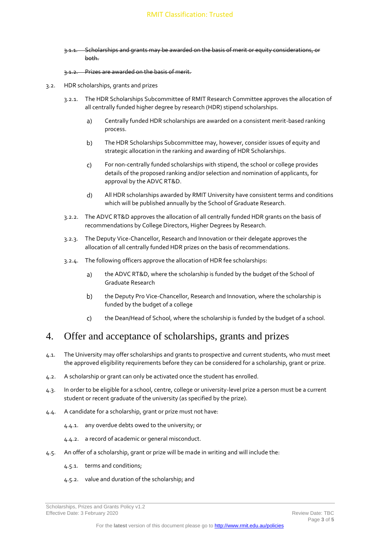3.1.1. Scholarships and grants may be awarded on the basis of merit or equity considerations, or both.

#### 3.1.2. Prizes are awarded on the basis of merit.

- 3.2. HDR scholarships, grants and prizes
	- 3.2.1. The HDR Scholarships Subcommittee of RMIT Research Committee approves the allocation of all centrally funded higher degree by research (HDR) stipend scholarships.
		- $a)$ Centrally funded HDR scholarships are awarded on a consistent merit-based ranking process.
		- $b)$ The HDR Scholarships Subcommittee may, however, consider issues of equity and strategic allocation in the ranking and awarding of HDR Scholarships.
		- For non-centrally funded scholarships with stipend, the school or college provides  $\mathsf{C}$ details of the proposed ranking and/or selection and nomination of applicants, for approval by the ADVC RT&D.
		- $d)$ All HDR scholarships awarded by RMIT University have consistent terms and conditions which will be published annually by the School of Graduate Research.
	- 3.2.2. The ADVC RT&D approves the allocation of all centrally funded HDR grants on the basis of recommendations by College Directors, Higher Degrees by Research.
	- 3.2.3. The Deputy Vice-Chancellor, Research and Innovation or their delegate approves the allocation of all centrally funded HDR prizes on the basis of recommendations.
	- 3.2.4. The following officers approve the allocation of HDR fee scholarships:
		- $a)$ the ADVC RT&D, where the scholarship is funded by the budget of the School of Graduate Research
		- b) the Deputy Pro Vice-Chancellor, Research and Innovation, where the scholarship is funded by the budget of a college
		- $\mathsf{C}$ the Dean/Head of School, where the scholarship is funded by the budget of a school.

#### 4. Offer and acceptance of scholarships, grants and prizes

- 4.1. The University may offer scholarships and grants to prospective and current students, who must meet the approved eligibility requirements before they can be considered for a scholarship, grant or prize.
- 4.2. A scholarship or grant can only be activated once the student has enrolled.
- 4.3. In order to be eligible for a school, centre, college or university-level prize a person must be a current student or recent graduate of the university (as specified by the prize).
- 4.4. A candidate for a scholarship, grant or prize must not have:
	- 4.4.1. any overdue debts owed to the university; or
	- 4.4.2. a record of academic or general misconduct.
- 4.5. An offer of a scholarship, grant or prize will be made in writing and will include the:
	- 4.5.1. terms and conditions;
	- 4.5.2. value and duration of the scholarship; and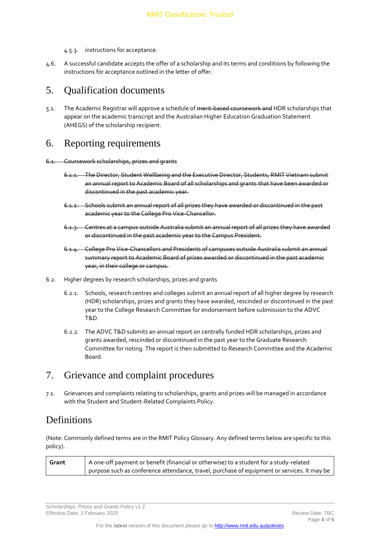- 4.5.3. instructions for acceptance.
- 4.6. A successful candidate accepts the offer of a scholarship and its terms and conditions by following the instructions for acceptance outlined in the letter of offer.

#### 5. Qualification documents

5.1. The Academic Registrar will approve a schedule of merit-based coursework and HDR scholarships that appear on the academic transcript and the Australian Higher Education Graduation Statement (AHEGS) of the scholarship recipient.

#### 6. Reporting requirements

6.1. Coursework scholarships, prizes and grants

- 6.1.1. The Director, Student Wellbeing and the Executive Director, Students, RMIT Vietnam submit an annual report to Academic Board of all scholarships and grants that have been awarded or discontinued in the past academic year.
- 6.1.2. Schools submit an annual report of all prizes they have awarded or discontinued in the past academic year to the College Pro Vice-Chancellor.
- 6.1.3. Centres at a campus outside Australia submit an annual report of all prizes they have awarded or discontinued in the past academic year to the Campus President.
- 6.1.4. College Pro Vice-Chancellors and Presidents of campuses outside Australia submit an annual summary report to Academic Board of prizes awarded or discontinued in the past academic year, in their college or campus.
- 6.2. Higher degrees by research scholarships, prizes and grants
	- 6.2.1. Schools, research centres and colleges submit an annual report of all higher degree by research (HDR) scholarships, prizes and grants they have awarded, rescinded or discontinued in the past year to the College Research Committee for endorsement before submission to the ADVC T&D.
	- 6.2.2. The ADVC T&D submits an annual report on centrally funded HDR scholarships, prizes and grants awarded, rescinded or discontinued in the past year to the Graduate Research Committee for noting. The report is then submitted to Research Committee and the Academic Board.

#### 7. Grievance and complaint procedures

7.1. Grievances and complaints relating to scholarships, grants and prizes will be managed in accordance with the Student and Student-Related Complaints Policy.

#### **Definitions**

(Note: Commonly defined terms are in the RMIT Policy Glossary. Any defined terms below are specific to this policy).

| Grant | A one-off payment or benefit (financial or otherwise) to a student for a study-related      |  |  |  |
|-------|---------------------------------------------------------------------------------------------|--|--|--|
|       | purpose such as conference attendance, travel, purchase of equipment or services. It may be |  |  |  |